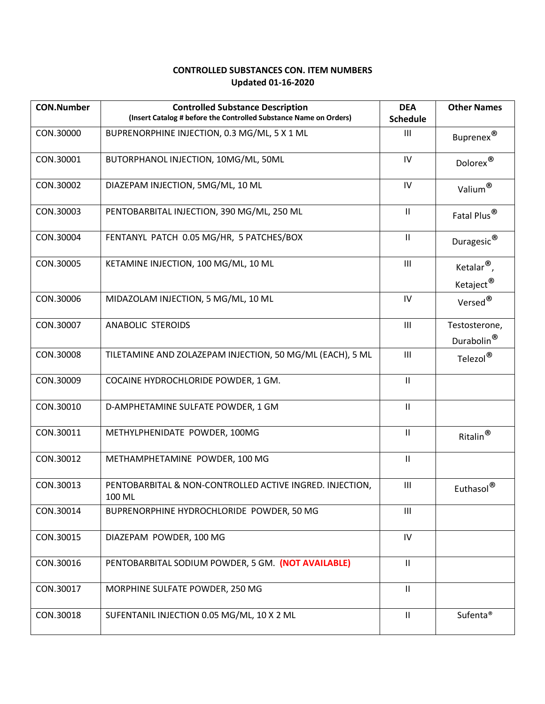## **CONTROLLED SUBSTANCES CON. ITEM NUMBERS Updated 01-16-2020**

| <b>CON.Number</b> | <b>Controlled Substance Description</b><br>(Insert Catalog # before the Controlled Substance Name on Orders) | <b>DEA</b><br><b>Schedule</b> | <b>Other Names</b>                           |
|-------------------|--------------------------------------------------------------------------------------------------------------|-------------------------------|----------------------------------------------|
| CON.30000         | BUPRENORPHINE INJECTION, 0.3 MG/ML, 5 X 1 ML                                                                 | $\mathbf{III}$                | Buprenex®                                    |
| CON.30001         | BUTORPHANOL INJECTION, 10MG/ML, 50ML                                                                         | IV                            | $\mathsf{Dolorex}^{\circledR}$               |
| CON.30002         | DIAZEPAM INJECTION, 5MG/ML, 10 ML                                                                            | IV                            | Valium®                                      |
| CON.30003         | PENTOBARBITAL INJECTION, 390 MG/ML, 250 ML                                                                   | $\mathbf{II}$                 | Fatal Plus <sup>®</sup>                      |
| CON.30004         | FENTANYL PATCH 0.05 MG/HR, 5 PATCHES/BOX                                                                     | $\mathbf{II}$                 | Duragesic®                                   |
| CON.30005         | KETAMINE INJECTION, 100 MG/ML, 10 ML                                                                         | $\mathbf{III}$                | Ketalar <sup>®</sup> ,                       |
| CON.30006         | MIDAZOLAM INJECTION, 5 MG/ML, 10 ML                                                                          | IV                            | Ketaject <sup>®</sup><br>Versed <sup>®</sup> |
| CON.30007         | ANABOLIC STEROIDS                                                                                            | $\mathbf{III}$                | Testosterone,<br>Durabolin <sup>®</sup>      |
| CON.30008         | TILETAMINE AND ZOLAZEPAM INJECTION, 50 MG/ML (EACH), 5 ML                                                    | III                           | Telezol®                                     |
| CON.30009         | COCAINE HYDROCHLORIDE POWDER, 1 GM.                                                                          | $\mathbf{II}$                 |                                              |
| CON.30010         | D-AMPHETAMINE SULFATE POWDER, 1 GM                                                                           | $\mathbf{II}$                 |                                              |
| CON.30011         | METHYLPHENIDATE POWDER, 100MG                                                                                | $\mathbf{H}$                  | $Ritalin^{\circledR}$                        |
| CON.30012         | METHAMPHETAMINE POWDER, 100 MG                                                                               | $\ensuremath{\mathsf{II}}$    |                                              |
| CON.30013         | PENTOBARBITAL & NON-CONTROLLED ACTIVE INGRED. INJECTION,<br>100 ML                                           | $\mathbf{III}$                | Euthasol <sup>®</sup>                        |
| CON.30014         | BUPRENORPHINE HYDROCHLORIDE POWDER, 50 MG                                                                    | $\mathbf{III}$                |                                              |
| CON.30015         | DIAZEPAM POWDER, 100 MG                                                                                      | ${\sf IV}$                    |                                              |
| CON.30016         | PENTOBARBITAL SODIUM POWDER, 5 GM. (NOT AVAILABLE)                                                           | $\mathbf{II}$                 |                                              |
| CON.30017         | MORPHINE SULFATE POWDER, 250 MG                                                                              | $\mathbf{H}$                  |                                              |
| CON.30018         | SUFENTANIL INJECTION 0.05 MG/ML, 10 X 2 ML                                                                   | $\mathbf{II}$                 | Sufenta <sup>®</sup>                         |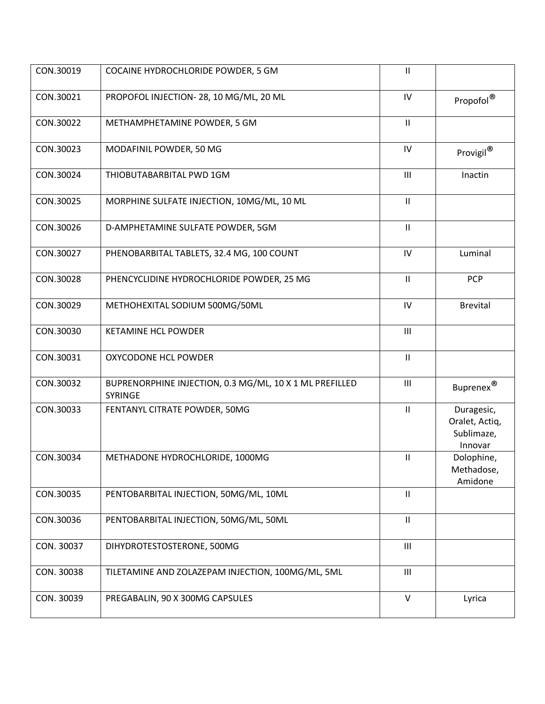| CON.30019  | COCAINE HYDROCHLORIDE POWDER, 5 GM                                 | $\ensuremath{\mathsf{II}}$ |                                                       |
|------------|--------------------------------------------------------------------|----------------------------|-------------------------------------------------------|
| CON.30021  | PROPOFOL INJECTION- 28, 10 MG/ML, 20 ML                            | ${\sf IV}$                 | Propofol®                                             |
| CON.30022  | METHAMPHETAMINE POWDER, 5 GM                                       | $\mathbf{II}$              |                                                       |
| CON.30023  | MODAFINIL POWDER, 50 MG                                            | ${\sf IV}$                 | Provigil®                                             |
| CON.30024  | THIOBUTABARBITAL PWD 1GM                                           | III                        | Inactin                                               |
| CON.30025  | MORPHINE SULFATE INJECTION, 10MG/ML, 10 ML                         | $\mathbf{II}$              |                                                       |
| CON.30026  | D-AMPHETAMINE SULFATE POWDER, 5GM                                  | $\mathsf{II}$              |                                                       |
| CON.30027  | PHENOBARBITAL TABLETS, 32.4 MG, 100 COUNT                          | IV                         | Luminal                                               |
| CON.30028  | PHENCYCLIDINE HYDROCHLORIDE POWDER, 25 MG                          | Ш                          | <b>PCP</b>                                            |
| CON.30029  | METHOHEXITAL SODIUM 500MG/50ML                                     | IV                         | <b>Brevital</b>                                       |
| CON.30030  | <b>KETAMINE HCL POWDER</b>                                         | $\mathbf{III}$             |                                                       |
| CON.30031  | OXYCODONE HCL POWDER                                               | $\ensuremath{\mathsf{II}}$ |                                                       |
| CON.30032  | BUPRENORPHINE INJECTION, 0.3 MG/ML, 10 X 1 ML PREFILLED<br>SYRINGE | $\mathbf{III}$             | Buprenex $^{\circledR}$                               |
| CON.30033  | FENTANYL CITRATE POWDER, 50MG                                      | $\ensuremath{\mathsf{II}}$ | Duragesic,<br>Oralet, Actiq,<br>Sublimaze,<br>Innovar |
| CON.30034  | METHADONE HYDROCHLORIDE, 1000MG                                    | Ш                          | Dolophine,<br>Methadose,<br>Amidone                   |
| CON.30035  | PENTOBARBITAL INJECTION, 50MG/ML, 10ML                             | $\mathsf{II}$              |                                                       |
| CON.30036  | PENTOBARBITAL INJECTION, 50MG/ML, 50ML                             | $\mathbf{II}$              |                                                       |
| CON. 30037 | DIHYDROTESTOSTERONE, 500MG                                         | $\mathbf{III}$             |                                                       |
| CON. 30038 | TILETAMINE AND ZOLAZEPAM INJECTION, 100MG/ML, 5ML                  | $\mathbf{III}$             |                                                       |
| CON. 30039 | PREGABALIN, 90 X 300MG CAPSULES                                    | $\vee$                     | Lyrica                                                |